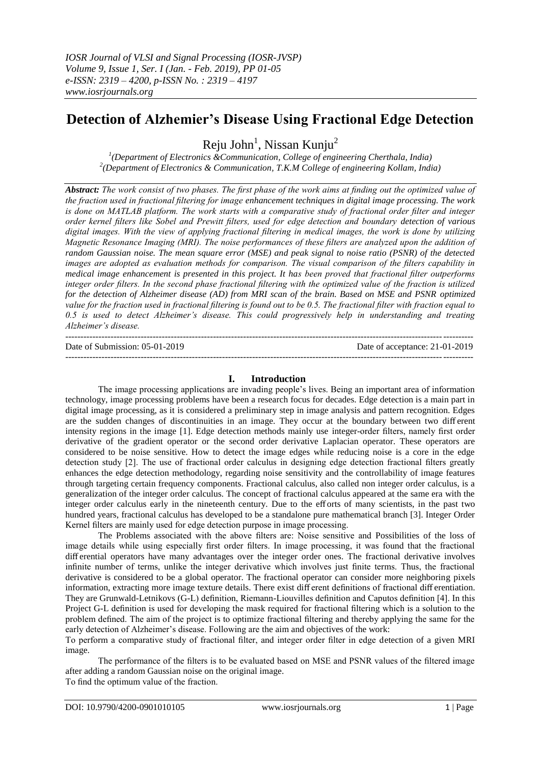# **Detection of Alzhemier's Disease Using Fractional Edge Detection**

Reju John<sup>1</sup>, Nissan Kunju<sup>2</sup>

*1 (Department of Electronics &Communication, College of engineering Cherthala, India) 2 (Department of Electronics & Communication, T.K.M College of engineering Kollam, India)* 

*Abstract: The work consist of two phases. The first phase of the work aims at finding out the optimized value of the fraction used in fractional filtering for image enhancement techniques in digital image processing. The work is done on MATLAB platform. The work starts with a comparative study of fractional order filter and integer order kernel filters like Sobel and Prewitt filters, used for edge detection and boundary detection of various digital images. With the view of applying fractional filtering in medical images, the work is done by utilizing Magnetic Resonance Imaging (MRI). The noise performances of these filters are analyzed upon the addition of random Gaussian noise. The mean square error (MSE) and peak signal to noise ratio (PSNR) of the detected images are adopted as evaluation methods for comparison. The visual comparison of the filters capability in medical image enhancement is presented in this project. It has been proved that fractional filter outperforms integer order filters. In the second phase fractional filtering with the optimized value of the fraction is utilized for the detection of Alzheimer disease (AD) from MRI scan of the brain. Based on MSE and PSNR optimized value for the fraction used in fractional filtering is found out to be 0.5. The fractional filter with fraction equal to 0.5 is used to detect Alzheimer's disease. This could progressively help in understanding and treating Alzheimer's disease.*

--------------------------------------------------------------------------------------------------------------------------------------- Date of Submission: 05-01-2019 Date of acceptance: 21-01-2019 ---------------------------------------------------------------------------------------------------------------------------------------

#### **I. Introduction**

The image processing applications are invading people's lives. Being an important area of information technology, image processing problems have been a research focus for decades. Edge detection is a main part in digital image processing, as it is considered a preliminary step in image analysis and pattern recognition. Edges are the sudden changes of discontinuities in an image. They occur at the boundary between two diff erent intensity regions in the image [1]. Edge detection methods mainly use integer-order filters, namely first order derivative of the gradient operator or the second order derivative Laplacian operator. These operators are considered to be noise sensitive. How to detect the image edges while reducing noise is a core in the edge detection study [2]. The use of fractional order calculus in designing edge detection fractional filters greatly enhances the edge detection methodology, regarding noise sensitivity and the controllability of image features through targeting certain frequency components. Fractional calculus, also called non integer order calculus, is a generalization of the integer order calculus. The concept of fractional calculus appeared at the same era with the integer order calculus early in the nineteenth century. Due to the eff orts of many scientists, in the past two hundred years, fractional calculus has developed to be a standalone pure mathematical branch [3]. Integer Order Kernel filters are mainly used for edge detection purpose in image processing.

The Problems associated with the above filters are: Noise sensitive and Possibilities of the loss of image details while using especially first order filters. In image processing, it was found that the fractional diff erential operators have many advantages over the integer order ones. The fractional derivative involves infinite number of terms, unlike the integer derivative which involves just finite terms. Thus, the fractional derivative is considered to be a global operator. The fractional operator can consider more neighboring pixels information, extracting more image texture details. There exist diff erent definitions of fractional diff erentiation. They are Grunwald-Letnikovs (G-L) definition, Riemann-Liouvilles definition and Caputos definition [4]. In this Project G-L definition is used for developing the mask required for fractional filtering which is a solution to the problem defined. The aim of the project is to optimize fractional filtering and thereby applying the same for the early detection of Alzheimer's disease. Following are the aim and objectives of the work:

To perform a comparative study of fractional filter, and integer order filter in edge detection of a given MRI image.

The performance of the filters is to be evaluated based on MSE and PSNR values of the filtered image after adding a random Gaussian noise on the original image. To find the optimum value of the fraction.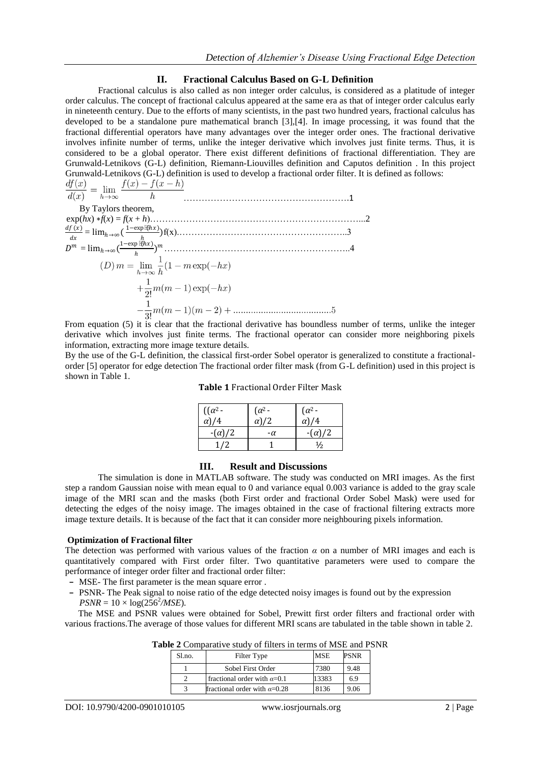### **II. Fractional Calculus Based on G-L Definition**

Fractional calculus is also called as non integer order calculus, is considered as a platitude of integer order calculus. The concept of fractional calculus appeared at the same era as that of integer order calculus early in nineteenth century. Due to the efforts of many scientists, in the past two hundred years, fractional calculus has developed to be a standalone pure mathematical branch [3],[4]. In image processing, it was found that the fractional differential operators have many advantages over the integer order ones. The fractional derivative involves infinite number of terms, unlike the integer derivative which involves just finite terms. Thus, it is considered to be a global operator. There exist different definitions of fractional differentiation. They are Grunwald-Letnikovs (G-L) definition, Riemann-Liouvilles definition and Caputos definition . In this project Grunwald-Letnikovs (G-L) definition is used to develop a fractional order filter. It is defined as follows:

$$
\frac{df(x)}{f(x)} = \lim_{x \to 0} \frac{f(x) - f(x - h)}{h}
$$

$$
d(x) \qquad h \to \infty \qquad h
$$
  
\nBy Taylor's theorem,  
\n
$$
\exp(hx) * f(x) = f(x + h)
$$
.................  
\n
$$
\frac{df(x)}{dx} = \lim_{h \to \infty} \left(\frac{1 - \exp[\frac{f(hx)}{h})}{h}\right) f(x)
$$
.................  
\n
$$
D^m = \lim_{h \to \infty} \left(\frac{1 - \exp[\frac{f(hx)}{h})}{h}\right)^m
$$
.................  
\n
$$
(D) m = \lim_{h \to \infty} \frac{1}{h} (1 - m \exp(-hx)
$$
  
\n
$$
+ \frac{1}{2!} m(m - 1) \exp(-hx)
$$
  
\n
$$
- \frac{1}{3!} m(m - 1)(m - 2) + \dots
$$
.................  
\n5

From equation (5) it is clear that the fractional derivative has boundless number of terms, unlike the integer derivative which involves just finite terms. The fractional operator can consider more neighboring pixels information, extracting more image texture details.

By the use of the G-L definition, the classical first-order Sobel operator is generalized to constitute a fractionalorder [5] operator for edge detection The fractional order filter mask (from G-L definition) used in this project is shown in Table 1.

| <b>Table 1 Fractional Order Filter Mask</b> |
|---------------------------------------------|
|---------------------------------------------|

| $((\alpha^2 -$<br>$\alpha$ )/4 | $\left( \alpha^2 - \right)$<br>$\alpha$ )/2 | $\left( \alpha^2 - \right)$<br>$\alpha$ )/4 |
|--------------------------------|---------------------------------------------|---------------------------------------------|
| $-(\alpha)/2$                  | -α                                          | $-(\alpha)/2$                               |
| 1/2                            |                                             | $\frac{1}{2}$                               |

#### **III. Result and Discussions**

The simulation is done in MATLAB software. The study was conducted on MRI images. As the first step a random Gaussian noise with mean equal to 0 and variance equal 0.003 variance is added to the gray scale image of the MRI scan and the masks (both First order and fractional Order Sobel Mask) were used for detecting the edges of the noisy image. The images obtained in the case of fractional filtering extracts more image texture details. It is because of the fact that it can consider more neighbouring pixels information.

#### **Optimization of Fractional filter**

The detection was performed with various values of the fraction *α* on a number of MRI images and each is quantitatively compared with First order filter. Two quantitative parameters were used to compare the performance of integer order filter and fractional order filter:

- **–** MSE- The first parameter is the mean square error .
- **–** PSNR- The Peak signal to noise ratio of the edge detected noisy images is found out by the expression  $PSNR = 10 \times \log(256^2 / MSE)$ .

The MSE and PSNR values were obtained for Sobel, Prewitt first order filters and fractional order with various fractions.The average of those values for different MRI scans are tabulated in the table shown in table 2.

| Sl.no. | Filter Type                          | <b>MSE</b> | PSNR |
|--------|--------------------------------------|------------|------|
|        | Sobel First Order                    | 7380       | 9.48 |
|        | fractional order with $\alpha$ =0.1  | 13383      | 6.9  |
|        | fractional order with $\alpha$ =0.28 | 8136       | 9.06 |

**Table 2** Comparative study of filters in terms of MSE and PSNR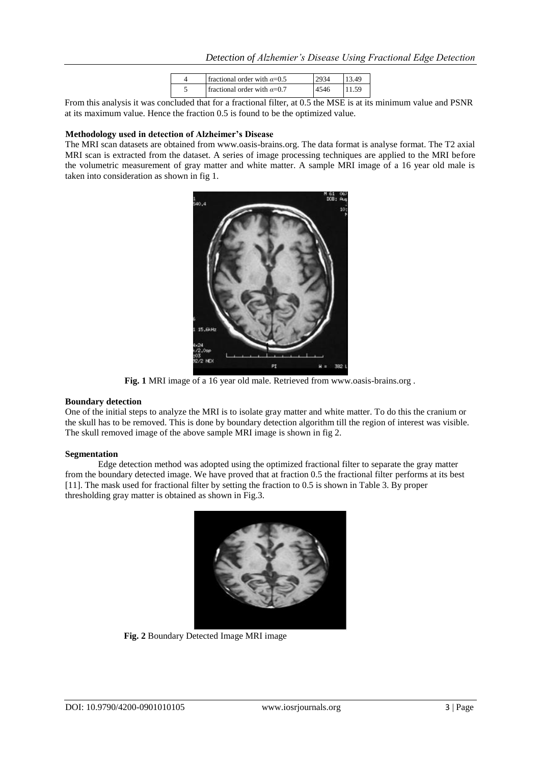| fractional order with $\alpha$ =0.5 |  |
|-------------------------------------|--|
| fractional order with $\alpha$ =0.7 |  |

From this analysis it was concluded that for a fractional filter, at 0.5 the MSE is at its minimum value and PSNR at its maximum value. Hence the fraction 0.5 is found to be the optimized value.

#### **Methodology used in detection of Alzheimer's Disease**

The MRI scan datasets are obtained from www.oasis-brains.org. The data format is analyse format. The T2 axial MRI scan is extracted from the dataset. A series of image processing techniques are applied to the MRI before the volumetric measurement of gray matter and white matter. A sample MRI image of a 16 year old male is taken into consideration as shown in fig 1.



**Fig. 1** MRI image of a 16 year old male. Retrieved from www.oasis-brains.org .

#### **Boundary detection**

One of the initial steps to analyze the MRI is to isolate gray matter and white matter. To do this the cranium or the skull has to be removed. This is done by boundary detection algorithm till the region of interest was visible. The skull removed image of the above sample MRI image is shown in fig 2.

#### **Segmentation**

Edge detection method was adopted using the optimized fractional filter to separate the gray matter from the boundary detected image. We have proved that at fraction 0.5 the fractional filter performs at its best [11]. The mask used for fractional filter by setting the fraction to 0.5 is shown in Table 3. By proper thresholding gray matter is obtained as shown in Fig.3.



**Fig. 2** Boundary Detected Image MRI image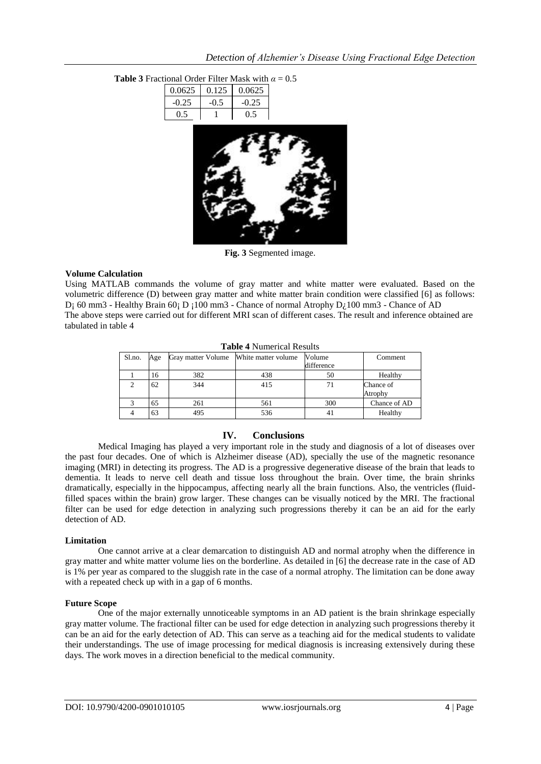| Detection of Alzhemier's Disease Using Fractional Edge Detection |  |  |  |
|------------------------------------------------------------------|--|--|--|
|                                                                  |  |  |  |

|         |        | onal Order Filter Mask with $\alpha = 0.5$ |  |
|---------|--------|--------------------------------------------|--|
| 0.0625  | 0.125  | 0.0625                                     |  |
| $-0.25$ | $-0.5$ | $-0.25$                                    |  |
| 0.5     | 1      | 0.5                                        |  |
|         |        |                                            |  |

## **Table 3** Fractional Order Filter Mask with *α* = 0*.*5

**Fig. 3** Segmented image.

#### **Volume Calculation**

Using MATLAB commands the volume of gray matter and white matter were evaluated. Based on the volumetric difference (D) between gray matter and white matter brain condition were classified [6] as follows: D<sub>i</sub> 60 mm3 - Healthy Brain 60; D  $_1100$  mm3 - Chance of normal Atrophy D<sub>i</sub> 100 mm3 - Chance of AD The above steps were carried out for different MRI scan of different cases. The result and inference obtained are tabulated in table 4

| <b>Table 4</b> indiffered results |     |                                        |     |            |              |  |
|-----------------------------------|-----|----------------------------------------|-----|------------|--------------|--|
| Sl.no.                            | Age | Gray matter Volume White matter volume |     | Volume     | Comment      |  |
|                                   |     |                                        |     | difference |              |  |
|                                   | 16  | 382                                    | 438 | 50         | Healthy      |  |
|                                   | 62  | 344                                    | 415 | 71         | Chance of    |  |
|                                   |     |                                        |     |            | Atrophy      |  |
|                                   | 65  | 261                                    | 561 | 300        | Chance of AD |  |
|                                   | 63  | 495                                    | 536 | 41         | Healthy      |  |

**Table 4** Numerical Results

### **IV. Conclusions**

Medical Imaging has played a very important role in the study and diagnosis of a lot of diseases over the past four decades. One of which is Alzheimer disease (AD), specially the use of the magnetic resonance imaging (MRI) in detecting its progress. The AD is a progressive degenerative disease of the brain that leads to dementia. It leads to nerve cell death and tissue loss throughout the brain. Over time, the brain shrinks dramatically, especially in the hippocampus, affecting nearly all the brain functions. Also, the ventricles (fluidfilled spaces within the brain) grow larger. These changes can be visually noticed by the MRI. The fractional filter can be used for edge detection in analyzing such progressions thereby it can be an aid for the early detection of AD.

#### **Limitation**

One cannot arrive at a clear demarcation to distinguish AD and normal atrophy when the difference in gray matter and white matter volume lies on the borderline. As detailed in [6] the decrease rate in the case of AD is 1% per year as compared to the sluggish rate in the case of a normal atrophy. The limitation can be done away with a repeated check up with in a gap of 6 months.

#### **Future Scope**

One of the major externally unnoticeable symptoms in an AD patient is the brain shrinkage especially gray matter volume. The fractional filter can be used for edge detection in analyzing such progressions thereby it can be an aid for the early detection of AD. This can serve as a teaching aid for the medical students to validate their understandings. The use of image processing for medical diagnosis is increasing extensively during these days. The work moves in a direction beneficial to the medical community.